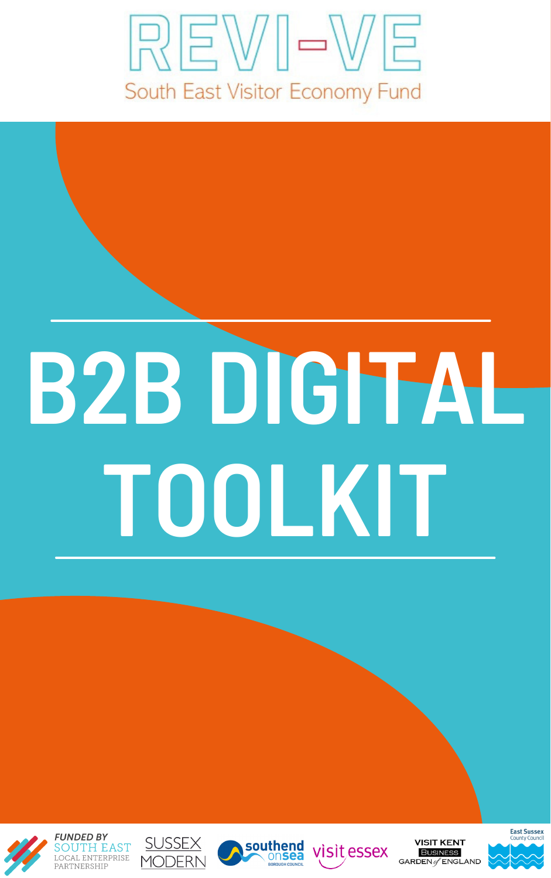### REWI-WE South East Visitor Economy Fund



# **TOOLKIT**











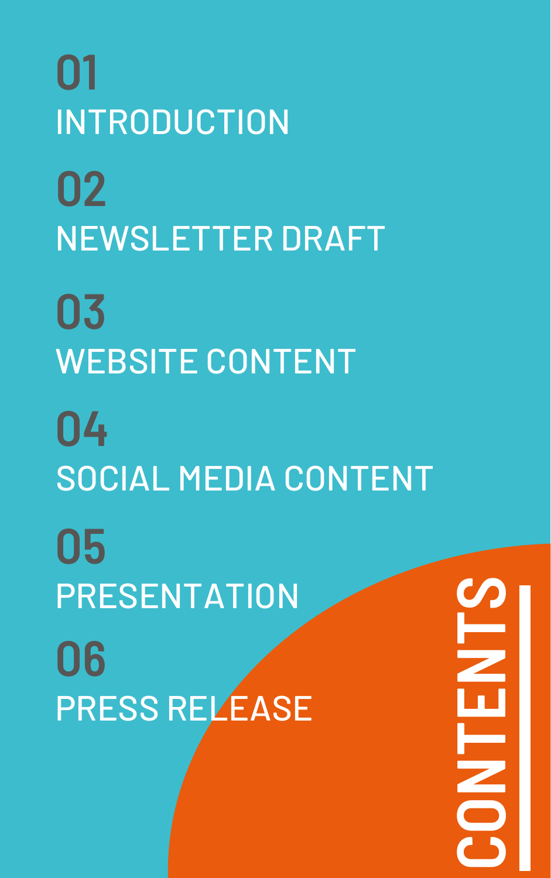### **O1** INTRODUCTION **O2** NEWSLETTER DRAFT **O3** WEBSITE CONTENT **O4**

### SOCIAL MEDIA CONTENT

**O5** PRESENTATION **O6** PRESS RELEASE

**CONTENT** $\mathcal{S}$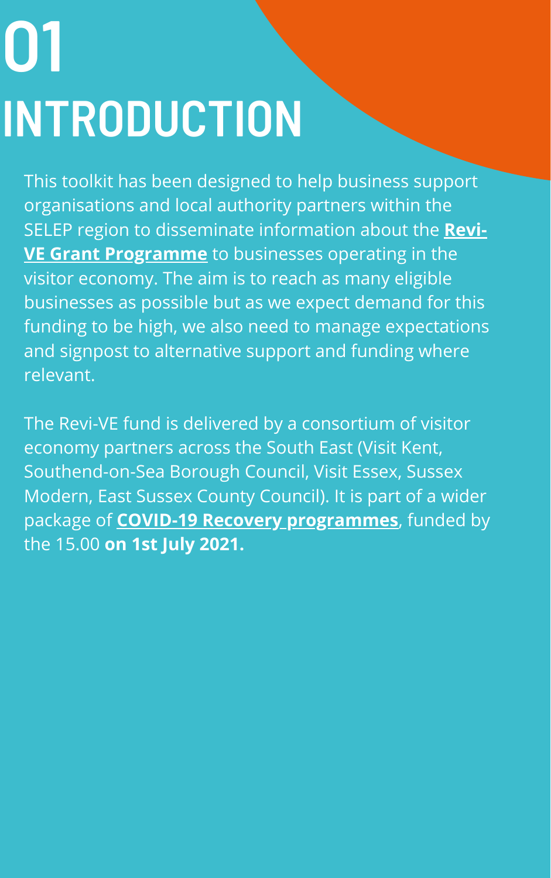## **O1 INTRODUCTION**

This toolkit has been designed to help business support organisations and local authority partners within the SELEP region to disseminate information about the **Revi-VE Grant [Programme](https://southeastbusiness.org.uk/revive/)** to businesses operating in the visitor economy. The aim is to reach as many eligible businesses as possible but as we expect demand for this funding to be high, we also need to manage expectations and signpost to alternative support and funding where relevant.

The Revi-VE fund is delivered by a consortium of visitor economy partners across the South East (Visit Kent, Southend-on-Sea Borough Council, Visit Essex, Sussex Modern, East Sussex County Council). It is part of a wider package of **COVID-19 Recovery [programmes](https://www.southeastlep.com/covid-19-recovery-funds-programme/)**, funded by the 15.00 **on 1st July 2021.**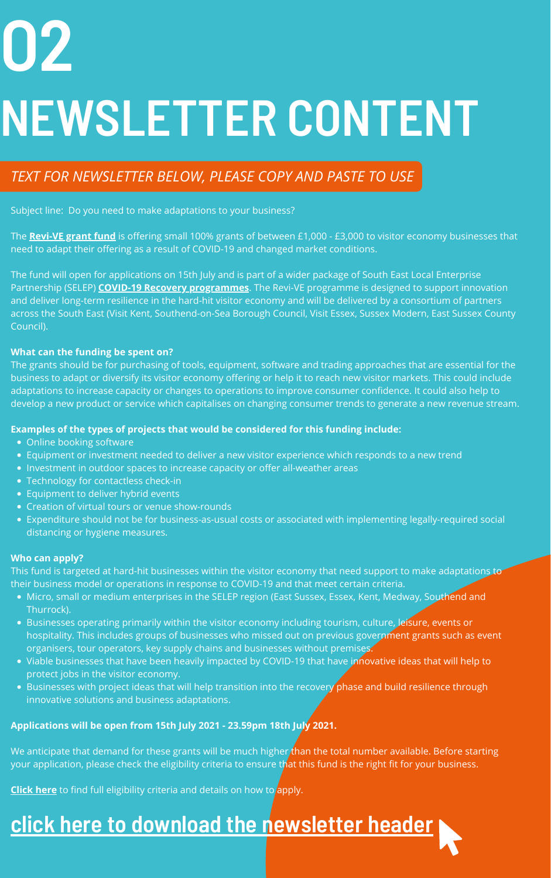- Online booking software
- Equipment or investment needed to deliver a new visitor experience which responds to a new trend
- Investment in outdoor spaces to increase capacity or offer all-weather areas
- Technology for contactless check-in
- Equipment to deliver hybrid events
- Creation of virtual tours or venue show-rounds
- Expenditure should not be for business-as-usual costs or associated with implementing legally-required social distancing or hygiene measures.

- Micro, small or medium enterprises in the SELEP region (East Sussex, Essex, Kent, Medway, Southend and Thurrock).
- Businesses operating primarily within the visitor economy including tourism, culture, leisure, events or hospitality. This includes groups of businesses who missed out on previous government grants such as event organisers, tour operators, key supply chains and businesses without premises.
- Viable businesses that have been heavily impacted by COVID-19 that have innovative ideas that will help to protect jobs in the visitor economy.
- Businesses with project ideas that will help transition into the recovery phase and build resilience through innovative solutions and business adaptations.

Subject line: Do you need to make adaptations to your business?

The **[Revi-VE grant fund](https://southeastbusiness.org.uk/revive/)** is offering small 100% grants of between £1,000 - £3,000 to visitor economy businesses that need to adapt their offering as a result of COVID-19 and changed market conditions.

This fund is targeted at hard-hit businesses within the visitor economy that need support to make adaptations to their business model or operations in response to COVID-19 and that meet certain criteria.

The fund will open for applications on 15th July and is part of a wider package of South East Local Enterprise Partnership (SELEP) **[COVID-19 Recovery programmes](https://www.southeastlep.com/covid-19-recovery-funds-programme/)**. The Revi-VE programme is designed to support innovation and deliver long-term resilience in the hard-hit visitor economy and will be delivered by a consortium of partners across the South East (Visit Kent, Southend-on-Sea Borough Council, Visit Essex, Sussex Modern, East Sussex County Council).

#### **What can the funding be spent on?**

The grants should be for purchasing of tools, equipment, software and trading approaches that are essential for the business to adapt or diversify its visitor economy offering or help it to reach new visitor markets. This could include adaptations to increase capacity or changes to operations to improve consumer confidence. It could also help to develop a new product or service which capitalises on changing consumer trends to generate a new revenue stream.

#### **Examples of the types of projects that would be considered for this funding include:**

#### **Who can apply?**

#### **Applications will be open from 15th July 2021 - 23.59pm 18th July 2021.**

We anticipate that demand for these grants will be much higher than the total number available. Before starting your application, please check the eligibility criteria to ensure that this fund is the right fit for your business.

**[Click here](https://southeastbusiness.org.uk/revive/)** to find full eligibility criteria and details on how to apply.

### **O2 NEWSLETTER CONTENT**

### **click here to download the [newsletter](https://albumizr.com/a/uD4R) header**

### *TEXT FOR NEWSLETTER BELOW, PLEASE COPY AND PASTE TO USE*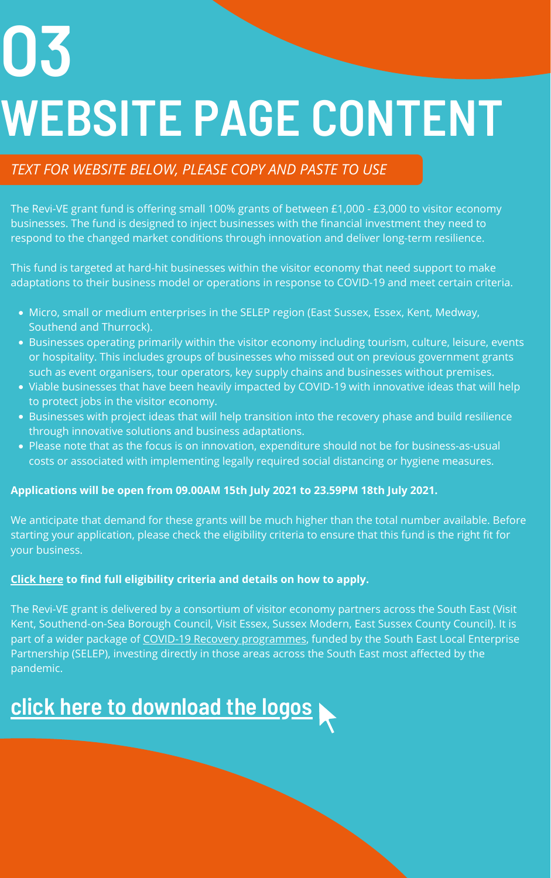- Micro, small or medium enterprises in the SELEP region (East Sussex, Essex, Kent, Medway, Southend and Thurrock).
- Businesses operating primarily within the visitor economy including tourism, culture, leisure, events or hospitality. This includes groups of businesses who missed out on previous government grants such as event organisers, tour operators, key supply chains and businesses without premises.
- Viable businesses that have been heavily impacted by COVID-19 with innovative ideas that will help to protect jobs in the visitor economy.
- Businesses with project ideas that will help transition into the recovery phase and build resilience through innovative solutions and business adaptations.
- Please note that as the focus is on innovation, expenditure should not be for business-as-usual costs or associated with implementing legally required social distancing or hygiene measures.

The Revi-VE grant fund is offering small 100% grants of between £1,000 - £3,000 to visitor economy businesses. The fund is designed to inject businesses with the financial investment they need to respond to the changed market conditions through innovation and deliver long-term resilience.

This fund is targeted at hard-hit businesses within the visitor economy that need support to make adaptations to their business model or operations in response to COVID-19 and meet certain criteria.

#### **Applications will be open from 09.00AM 15th July 2021 to 23.59PM 18th July 2021.**

We anticipate that demand for these grants will be much higher than the total number available. Before starting your application, please check the eligibility criteria to ensure that this fund is the right fit for your business.

### **[Click](https://southeastbusiness.org.uk/revive/) here to find full eligibility criteria and details on how to apply.**

The Revi-VE grant is delivered by a consortium of visitor economy partners across the South East (Visit Kent, Southend-on-Sea Borough Council, Visit Essex, Sussex Modern, East Sussex County Council). It is part of a wider package of COVID-19 Recovery [programmes,](https://www.southeastlep.com/covid-19-recovery-funds-programme/) funded by the South East Local Enterprise Partnership (SELEP), investing directly in those areas across the South East most affected by the pandemic.

### **O3 WEBSITE PAGE CONTENT**

### **click here to [download](https://albumizr.com/a/FfMl) the logos**

### *TEXT FOR WEBSITE BELOW, PLEASE COPY AND PASTE TO USE*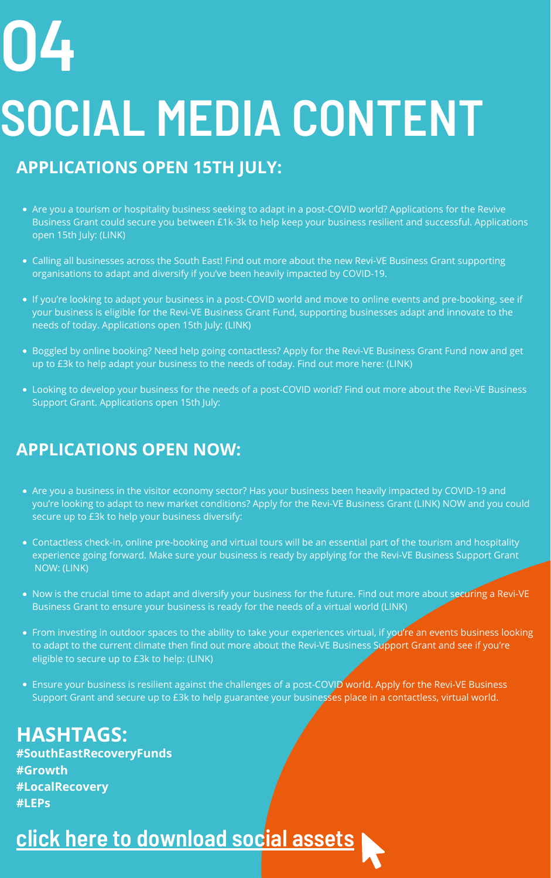- Are you a tourism or hospitality business seeking to adapt in a post-COVID world? Applications for the Revive Business Grant could secure you between £1k-3k to help keep your business resilient and successful. Applications open 15th July: (LINK)
- Calling all businesses across the South East! Find out more about the new Revi-VE Business Grant supporting organisations to adapt and diversify if you've been heavily impacted by COVID-19.
- If you're looking to adapt your business in a post-COVID world and move to online events and pre-booking, see if your business is eligible for the Revi-VE Business Grant Fund, supporting businesses adapt and innovate to the needs of today. Applications open 15th July: (LINK)
- Boggled by online booking? Need help going contactless? Apply for the Revi-VE Business Grant Fund now and get up to £3k to help adapt your business to the needs of today. Find out more here: (LINK)
- Looking to develop your business for the needs of a post-COVID world? Find out more about the Revi-VE Business Support Grant. Applications open 15th July:

- Are you a business in the visitor economy sector? Has your business been heavily impacted by COVID-19 and you're looking to adapt to new market conditions? Apply for the Revi-VE Business Grant (LINK) NOW and you could secure up to £3k to help your business diversify:
- Contactless check-in, online pre-booking and virtual tours will be an essential part of the tourism and hospitality experience going forward. Make sure your business is ready by applying for the Revi-VE Business Support Grant NOW: (LINK)
- Now is the crucial time to adapt and diversify your business for the future. Find out more about securing a Revi-VE Business Grant to ensure your business is ready for the needs of a virtual world (LINK)
- From investing in outdoor spaces to the ability to take your experiences virtual, if you're an events business looking to adapt to the current climate then find out more about the Revi-VE Business Support Grant and see if you're eligible to secure up to £3k to help: (LINK)
- Ensure your business is resilient against the challenges of a post-COVID world. Apply for the Revi-VE Business Support Grant and secure up to £3k to help guarantee your businesses place in a contactless, virtual world.

### **APPLICATIONS OPEN 15TH JULY:**

## **O4 SOCIAL MEDIA CONTENT**

### **click here to [download](https://albumizr.com/a/sTJ3) social assets**

### **APPLICATIONS OPEN NOW:**

**HASHTAGS: #SouthEastRecoveryFunds #Growth #LocalRecovery #LEPs**